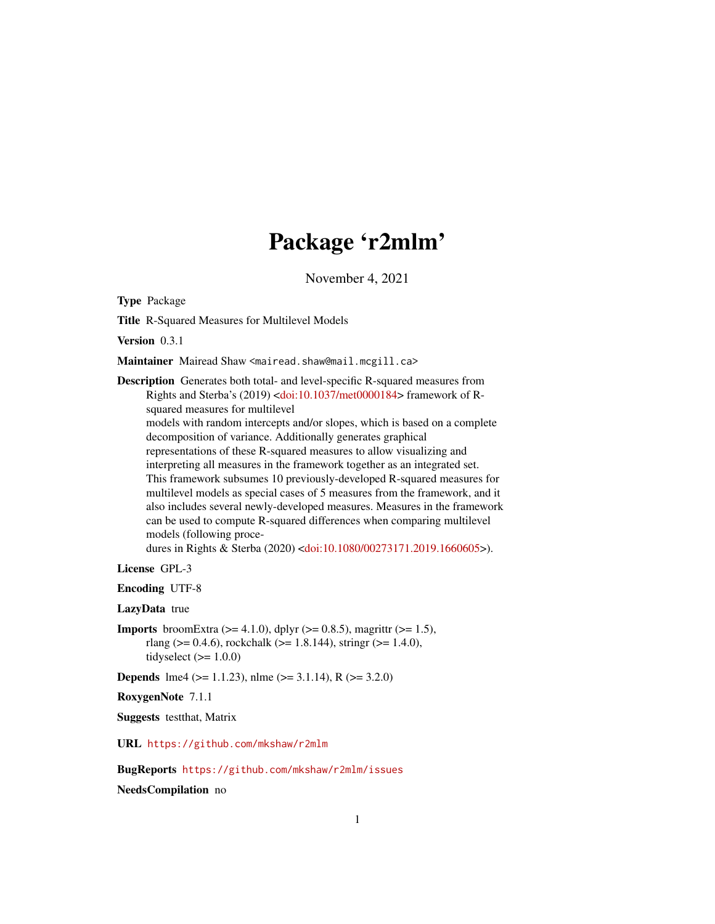# Package 'r2mlm'

November 4, 2021

<span id="page-0-0"></span>Type Package

Title R-Squared Measures for Multilevel Models

Version 0.3.1

Maintainer Mairead Shaw <mairead.shaw@mail.mcgill.ca>

Description Generates both total- and level-specific R-squared measures from Rights and Sterba's (2019) [<doi:10.1037/met0000184>](https://doi.org/10.1037/met0000184) framework of Rsquared measures for multilevel

models with random intercepts and/or slopes, which is based on a complete decomposition of variance. Additionally generates graphical representations of these R-squared measures to allow visualizing and interpreting all measures in the framework together as an integrated set. This framework subsumes 10 previously-developed R-squared measures for multilevel models as special cases of 5 measures from the framework, and it also includes several newly-developed measures. Measures in the framework can be used to compute R-squared differences when comparing multilevel models (following proce-

dures in Rights & Sterba (2020) [<doi:10.1080/00273171.2019.1660605>](https://doi.org/10.1080/00273171.2019.1660605)).

License GPL-3

Encoding UTF-8

LazyData true

**Imports** broomExtra ( $>= 4.1.0$ ), dplyr ( $>= 0.8.5$ ), magrittr ( $>= 1.5$ ), rlang ( $> = 0.4.6$ ), rockchalk ( $> = 1.8.144$ ), stringr ( $> = 1.4.0$ ), tidyselect  $(>= 1.0.0)$ 

**Depends** lme4 ( $> = 1.1.23$ ), nlme ( $> = 3.1.14$ ), R ( $> = 3.2.0$ )

RoxygenNote 7.1.1

Suggests testthat, Matrix

URL <https://github.com/mkshaw/r2mlm>

BugReports <https://github.com/mkshaw/r2mlm/issues>

NeedsCompilation no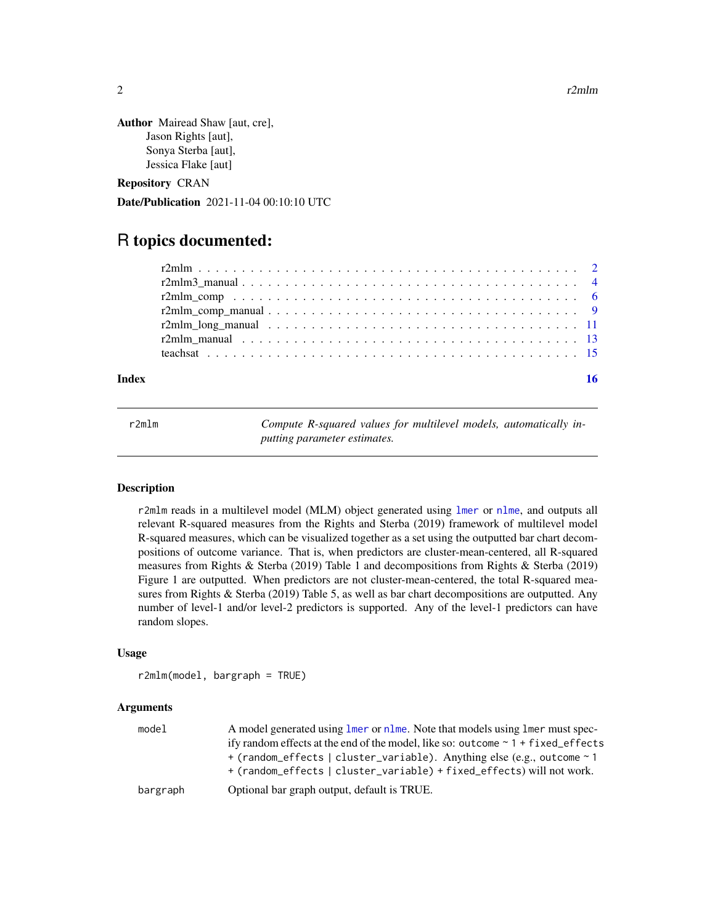<span id="page-1-0"></span>2 r2mlm

```
Author Mairead Shaw [aut, cre],
      Jason Rights [aut],
      Sonya Sterba [aut],
      Jessica Flake [aut]
```
Repository CRAN

Date/Publication 2021-11-04 00:10:10 UTC

# R topics documented:

| Index | 16 |
|-------|----|
|       |    |
|       |    |
|       |    |
|       |    |
|       |    |
|       |    |
|       |    |

<span id="page-1-1"></span>r2mlm *Compute R-squared values for multilevel models, automatically inputting parameter estimates.*

### **Description**

r2mlm reads in a multilevel model (MLM) object generated using [lmer](#page-0-0) or [nlme](#page-0-0), and outputs all relevant R-squared measures from the Rights and Sterba (2019) framework of multilevel model R-squared measures, which can be visualized together as a set using the outputted bar chart decompositions of outcome variance. That is, when predictors are cluster-mean-centered, all R-squared measures from Rights & Sterba (2019) Table 1 and decompositions from Rights & Sterba (2019) Figure 1 are outputted. When predictors are not cluster-mean-centered, the total R-squared measures from Rights & Sterba (2019) Table 5, as well as bar chart decompositions are outputted. Any number of level-1 and/or level-2 predictors is supported. Any of the level-1 predictors can have random slopes.

#### Usage

```
r2mlm(model, bargraph = TRUE)
```
#### **Arguments**

| model    | A model generated using lmer or nlme. Note that models using lmer must spec-                  |
|----------|-----------------------------------------------------------------------------------------------|
|          | ify random effects at the end of the model, like so: outcome $\sim 1 + \text{fixed\_effects}$ |
|          | + (random_effects   cluster_variable). Anything else (e.g., outcome ~ 1                       |
|          | + (random_effects   cluster_variable) + fixed_effects) will not work.                         |
| bargraph | Optional bar graph output, default is TRUE.                                                   |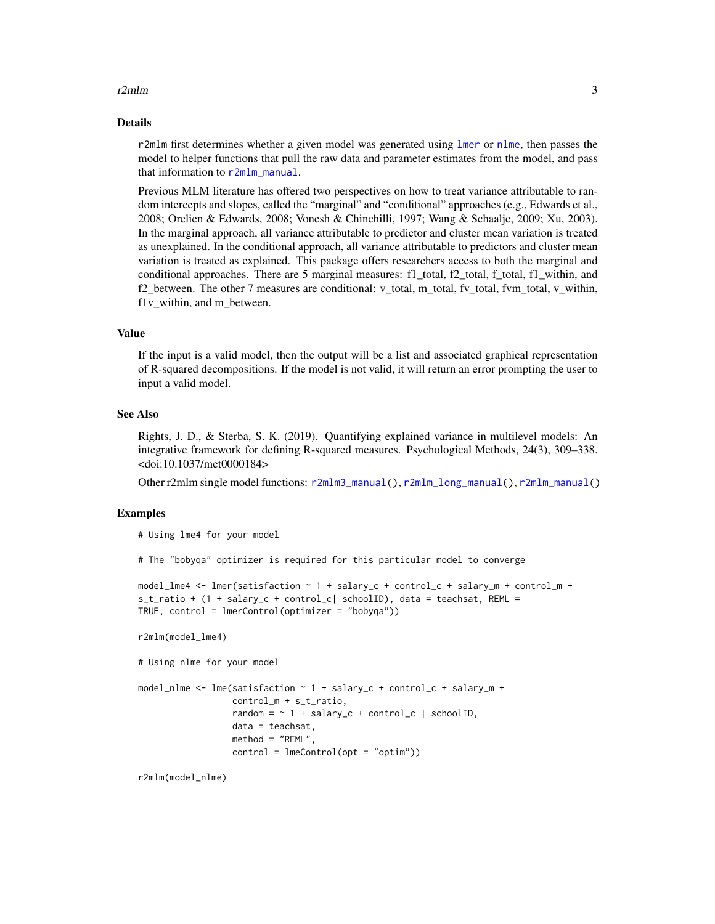#### <span id="page-2-0"></span> $r2mlm$  3

#### Details

r2mlm first determines whether a given model was generated using [lmer](#page-0-0) or [nlme](#page-0-0), then passes the model to helper functions that pull the raw data and parameter estimates from the model, and pass that information to [r2mlm\\_manual](#page-12-1).

Previous MLM literature has offered two perspectives on how to treat variance attributable to random intercepts and slopes, called the "marginal" and "conditional" approaches (e.g., Edwards et al., 2008; Orelien & Edwards, 2008; Vonesh & Chinchilli, 1997; Wang & Schaalje, 2009; Xu, 2003). In the marginal approach, all variance attributable to predictor and cluster mean variation is treated as unexplained. In the conditional approach, all variance attributable to predictors and cluster mean variation is treated as explained. This package offers researchers access to both the marginal and conditional approaches. There are 5 marginal measures: f1\_total, f2\_total, f\_total, f1\_within, and f2\_between. The other 7 measures are conditional: v\_total, m\_total, fv\_total, fvm\_total, v\_within, f1v\_within, and m\_between.

#### Value

If the input is a valid model, then the output will be a list and associated graphical representation of R-squared decompositions. If the model is not valid, it will return an error prompting the user to input a valid model.

#### See Also

Rights, J. D., & Sterba, S. K. (2019). Quantifying explained variance in multilevel models: An integrative framework for defining R-squared measures. Psychological Methods, 24(3), 309–338. <doi:10.1037/met0000184>

Other r2mlm single model functions: [r2mlm3\\_manual\(](#page-3-1)), [r2mlm\\_long\\_manual\(](#page-10-1)), [r2mlm\\_manual\(](#page-12-1))

#### Examples

```
# Using lme4 for your model
```
# The "bobyqa" optimizer is required for this particular model to converge

```
model_lme4 <- lmer(satisfaction ~ 1 + salary_c + control_c + salary_m + control_m +
s_t_ratio + (1 + salary_c + control_c| schoolID), data = teachsat, REML =
TRUE, control = lmerControl(optimizer = "bobyqa"))
```
r2mlm(model\_lme4)

```
# Using nlme for your model
```

```
model_nlme <- lme(satisfaction ~ 1 + salary_c + control_c + salary_m +
                 control_m + s_t_ratio,
                  random = \sim 1 + salary_c + control_c | schoolID,
                  data = teachsat,
                  method = "REML",
                  control = ImControl(opt = "option")
```
r2mlm(model\_nlme)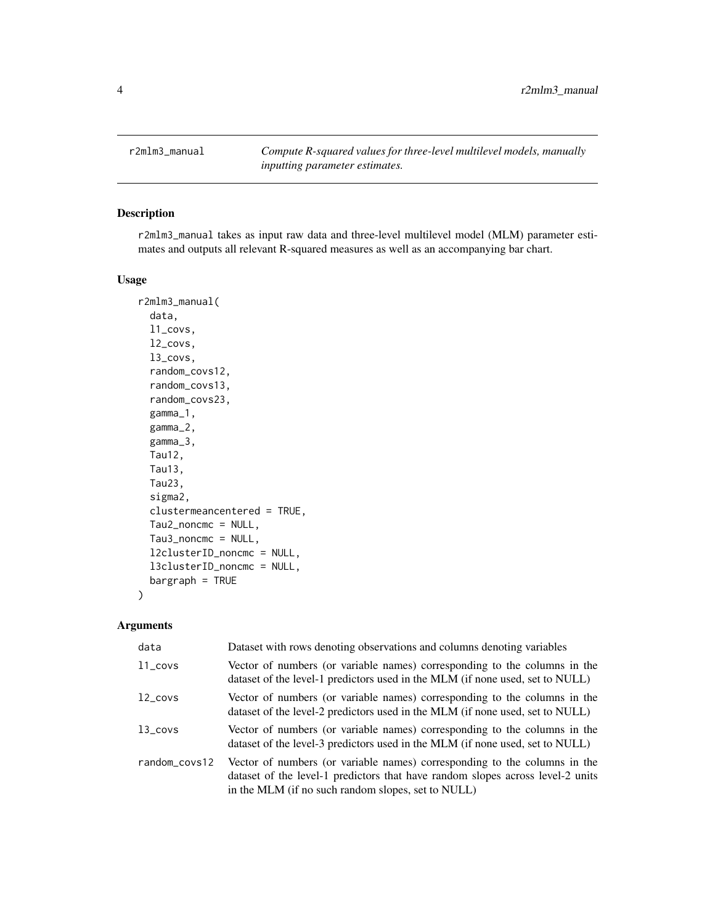<span id="page-3-1"></span><span id="page-3-0"></span>r2mlm3\_manual *Compute R-squared values for three-level multilevel models, manually inputting parameter estimates.*

#### Description

r2mlm3\_manual takes as input raw data and three-level multilevel model (MLM) parameter estimates and outputs all relevant R-squared measures as well as an accompanying bar chart.

#### Usage

```
r2mlm3_manual(
  data,
  l1_covs,
  l2_covs,
  l3_covs,
  random_covs12,
  random_covs13,
  random_covs23,
  gamma_1,
  gamma_2,
  gamma_3,
  Tau12,
  Tau13,
  Tau23,
  sigma2,
  clustermeancentered = TRUE,
  Tau2_noncmc = NULL,
  Tau3_noncmc = NULL,
  l2clusterID_noncmc = NULL,
  l3clusterID_noncmc = NULL,
 bargraph = TRUE
)
```
#### Arguments

| data          | Dataset with rows denoting observations and columns denoting variables                                                                                                                                            |
|---------------|-------------------------------------------------------------------------------------------------------------------------------------------------------------------------------------------------------------------|
| $11$ _covs    | Vector of numbers (or variable names) corresponding to the columns in the<br>dataset of the level-1 predictors used in the MLM (if none used, set to NULL)                                                        |
| $12$ _covs    | Vector of numbers (or variable names) corresponding to the columns in the<br>dataset of the level-2 predictors used in the MLM (if none used, set to NULL)                                                        |
| $13$ _covs    | Vector of numbers (or variable names) corresponding to the columns in the<br>dataset of the level-3 predictors used in the MLM (if none used, set to NULL)                                                        |
| random_covs12 | Vector of numbers (or variable names) corresponding to the columns in the<br>dataset of the level-1 predictors that have random slopes across level-2 units<br>in the MLM (if no such random slopes, set to NULL) |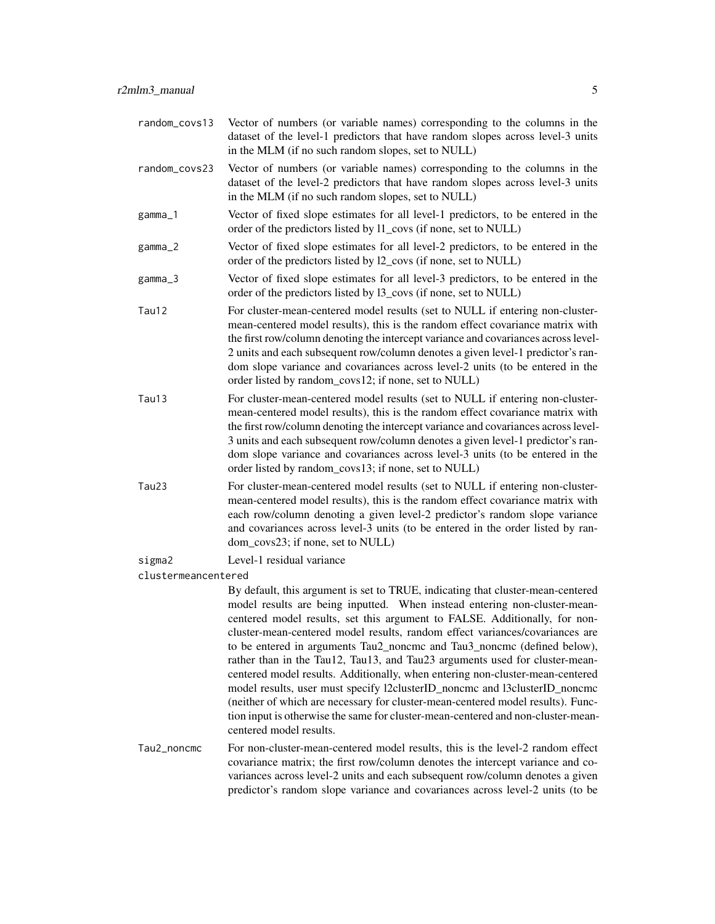- random\_covs13 Vector of numbers (or variable names) corresponding to the columns in the dataset of the level-1 predictors that have random slopes across level-3 units in the MLM (if no such random slopes, set to NULL)
- random\_covs23 Vector of numbers (or variable names) corresponding to the columns in the dataset of the level-2 predictors that have random slopes across level-3 units in the MLM (if no such random slopes, set to NULL)
- gamma\_1 Vector of fixed slope estimates for all level-1 predictors, to be entered in the order of the predictors listed by l1\_covs (if none, set to NULL)
- gamma\_2 Vector of fixed slope estimates for all level-2 predictors, to be entered in the order of the predictors listed by l2\_covs (if none, set to NULL)
- gamma\_3 Vector of fixed slope estimates for all level-3 predictors, to be entered in the order of the predictors listed by l3\_covs (if none, set to NULL)
- Tau12 For cluster-mean-centered model results (set to NULL if entering non-clustermean-centered model results), this is the random effect covariance matrix with the first row/column denoting the intercept variance and covariances across level-2 units and each subsequent row/column denotes a given level-1 predictor's random slope variance and covariances across level-2 units (to be entered in the order listed by random\_covs12; if none, set to NULL)
- Tau13 For cluster-mean-centered model results (set to NULL if entering non-clustermean-centered model results), this is the random effect covariance matrix with the first row/column denoting the intercept variance and covariances across level-3 units and each subsequent row/column denotes a given level-1 predictor's random slope variance and covariances across level-3 units (to be entered in the order listed by random\_covs13; if none, set to NULL)
- Tau23 For cluster-mean-centered model results (set to NULL if entering non-clustermean-centered model results), this is the random effect covariance matrix with each row/column denoting a given level-2 predictor's random slope variance and covariances across level-3 units (to be entered in the order listed by random covs23; if none, set to NULL)
- sigma2 Level-1 residual variance
- clustermeancentered

By default, this argument is set to TRUE, indicating that cluster-mean-centered model results are being inputted. When instead entering non-cluster-meancentered model results, set this argument to FALSE. Additionally, for noncluster-mean-centered model results, random effect variances/covariances are to be entered in arguments Tau2\_noncmc and Tau3\_noncmc (defined below), rather than in the Tau12, Tau13, and Tau23 arguments used for cluster-meancentered model results. Additionally, when entering non-cluster-mean-centered model results, user must specify l2clusterID\_noncmc and l3clusterID\_noncmc (neither of which are necessary for cluster-mean-centered model results). Function input is otherwise the same for cluster-mean-centered and non-cluster-meancentered model results.

Tau2\_noncmc For non-cluster-mean-centered model results, this is the level-2 random effect covariance matrix; the first row/column denotes the intercept variance and covariances across level-2 units and each subsequent row/column denotes a given predictor's random slope variance and covariances across level-2 units (to be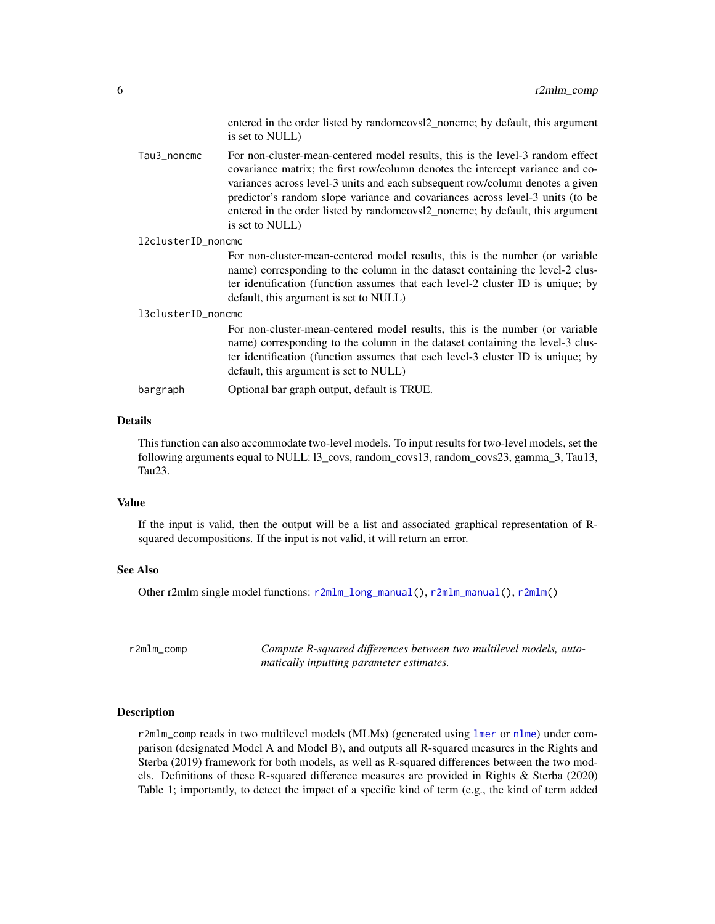entered in the order listed by randomcovsl2\_noncmc; by default, this argument is set to NULL)

<span id="page-5-0"></span>Tau3\_noncmc For non-cluster-mean-centered model results, this is the level-3 random effect covariance matrix; the first row/column denotes the intercept variance and covariances across level-3 units and each subsequent row/column denotes a given predictor's random slope variance and covariances across level-3 units (to be entered in the order listed by randomcovsl2\_noncmc; by default, this argument is set to NULL)

l2clusterID\_noncmc

For non-cluster-mean-centered model results, this is the number (or variable name) corresponding to the column in the dataset containing the level-2 cluster identification (function assumes that each level-2 cluster ID is unique; by default, this argument is set to NULL)

#### l3clusterID\_noncmc

For non-cluster-mean-centered model results, this is the number (or variable name) corresponding to the column in the dataset containing the level-3 cluster identification (function assumes that each level-3 cluster ID is unique; by default, this argument is set to NULL)

bargraph Optional bar graph output, default is TRUE.

#### Details

This function can also accommodate two-level models. To input results for two-level models, set the following arguments equal to NULL: l3\_covs, random\_covs13, random\_covs23, gamma\_3, Tau13, Tau23.

#### Value

If the input is valid, then the output will be a list and associated graphical representation of Rsquared decompositions. If the input is not valid, it will return an error.

#### See Also

Other r2mlm single model functions: [r2mlm\\_long\\_manual\(](#page-10-1)), [r2mlm\\_manual\(](#page-12-1)), [r2mlm\(](#page-1-1))

<span id="page-5-1"></span>r2mlm\_comp *Compute R-squared differences between two multilevel models, automatically inputting parameter estimates.*

#### Description

r2mlm\_comp reads in two multilevel models (MLMs) (generated using [lmer](#page-0-0) or [nlme](#page-0-0)) under comparison (designated Model A and Model B), and outputs all R-squared measures in the Rights and Sterba (2019) framework for both models, as well as R-squared differences between the two models. Definitions of these R-squared difference measures are provided in Rights & Sterba (2020) Table 1; importantly, to detect the impact of a specific kind of term (e.g., the kind of term added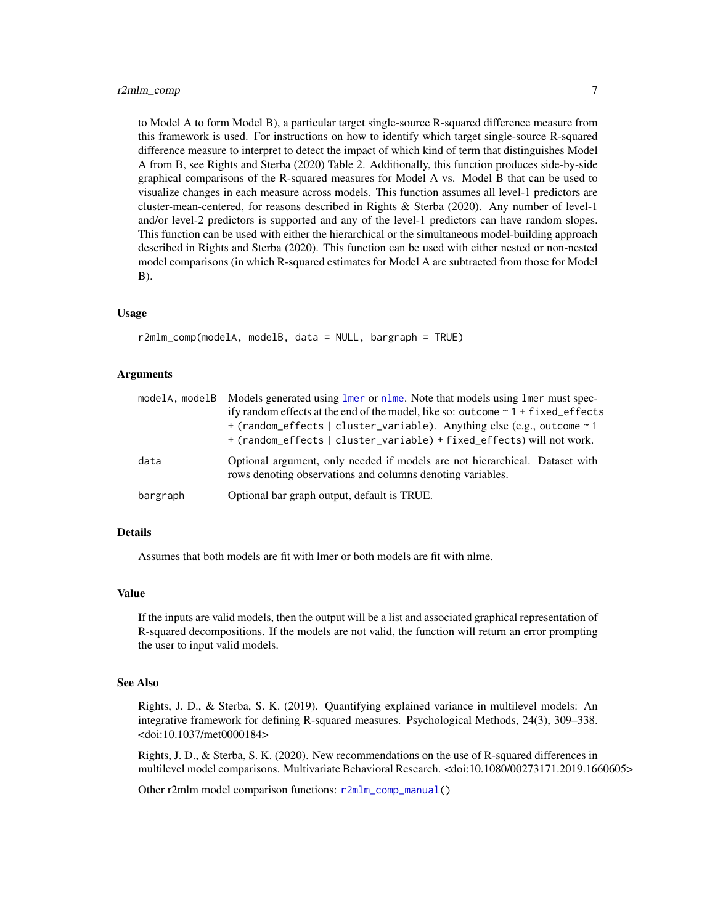<span id="page-6-0"></span>to Model A to form Model B), a particular target single-source R-squared difference measure from this framework is used. For instructions on how to identify which target single-source R-squared difference measure to interpret to detect the impact of which kind of term that distinguishes Model A from B, see Rights and Sterba (2020) Table 2. Additionally, this function produces side-by-side graphical comparisons of the R-squared measures for Model A vs. Model B that can be used to visualize changes in each measure across models. This function assumes all level-1 predictors are cluster-mean-centered, for reasons described in Rights & Sterba (2020). Any number of level-1 and/or level-2 predictors is supported and any of the level-1 predictors can have random slopes. This function can be used with either the hierarchical or the simultaneous model-building approach described in Rights and Sterba (2020). This function can be used with either nested or non-nested model comparisons (in which R-squared estimates for Model A are subtracted from those for Model B).

#### Usage

```
r2mlm_comp(modelA, modelB, data = NULL, bargraph = TRUE)
```
#### Arguments

|          | modelA, modelB Models generated using lmer or nlme. Note that models using lmer must spec-<br>ify random effects at the end of the model, like so: outcome $\sim 1 + \text{fixed\_effects}$<br>+ (random_effects   cluster_variable). Anything else (e.g., outcome ~ 1<br>+ (random_effects   cluster_variable) + fixed_effects) will not work. |
|----------|-------------------------------------------------------------------------------------------------------------------------------------------------------------------------------------------------------------------------------------------------------------------------------------------------------------------------------------------------|
| data     | Optional argument, only needed if models are not hierarchical. Dataset with<br>rows denoting observations and columns denoting variables.                                                                                                                                                                                                       |
| bargraph | Optional bar graph output, default is TRUE.                                                                                                                                                                                                                                                                                                     |

#### Details

Assumes that both models are fit with lmer or both models are fit with nlme.

#### Value

If the inputs are valid models, then the output will be a list and associated graphical representation of R-squared decompositions. If the models are not valid, the function will return an error prompting the user to input valid models.

#### See Also

Rights, J. D., & Sterba, S. K. (2019). Quantifying explained variance in multilevel models: An integrative framework for defining R-squared measures. Psychological Methods, 24(3), 309–338. <doi:10.1037/met0000184>

Rights, J. D., & Sterba, S. K. (2020). New recommendations on the use of R-squared differences in multilevel model comparisons. Multivariate Behavioral Research. <doi:10.1080/00273171.2019.1660605>

Other r2mlm model comparison functions: [r2mlm\\_comp\\_manual\(](#page-8-1))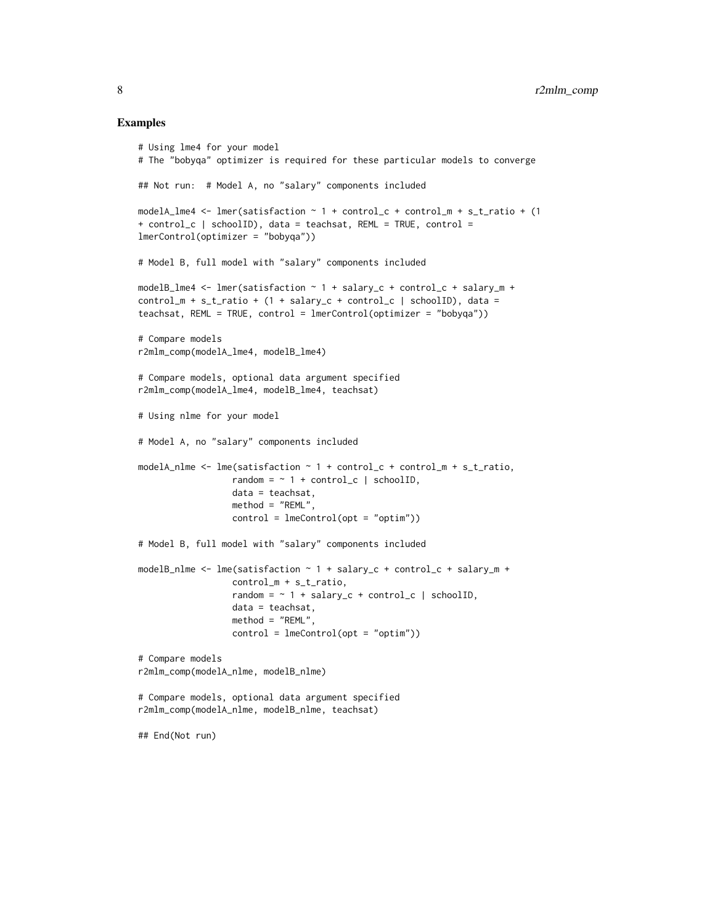#### Examples

```
# Using lme4 for your model
# The "bobyqa" optimizer is required for these particular models to converge
## Not run: # Model A, no "salary" components included
modelA_lme4 <- lmer(satisfaction \sim 1 + control_c + control_m + s_t_ratio + (1
+ control_c | schoolID), data = teachsat, REML = TRUE, control =
lmerControl(optimizer = "bobyqa"))
# Model B, full model with "salary" components included
modelB_lme4 <- lmer(satisfaction ~ 1 + salary_c + control_c + salary_m +
control_m + s_t_rratio + (1 + salary_c + control_c | schoolID), data =
teachsat, REML = TRUE, control = lmerControl(optimizer = "bobyqa"))
# Compare models
r2mlm_comp(modelA_lme4, modelB_lme4)
# Compare models, optional data argument specified
r2mlm_comp(modelA_lme4, modelB_lme4, teachsat)
# Using nlme for your model
# Model A, no "salary" components included
modelA_nlme <- lme(satisfaction ~ 1 + control_c + control_m + s_t_ratio,
                  random = \sim 1 + control_c | schoolID,
                  data = teachsat,
                  method = "REML".control = ImeControl(opt = "optim")# Model B, full model with "salary" components included
modelB_nlme <- lme(satisfaction ~ 1 + salary_c + control_c + salary_m +
                  control_m + s_t_ratio,
                  random = ~ 1 + salary_c + control_c | schoolID,data = teachsat,
                  method = "REML",
                  control = ImeControl(opt = "optim")# Compare models
r2mlm_comp(modelA_nlme, modelB_nlme)
# Compare models, optional data argument specified
r2mlm_comp(modelA_nlme, modelB_nlme, teachsat)
## End(Not run)
```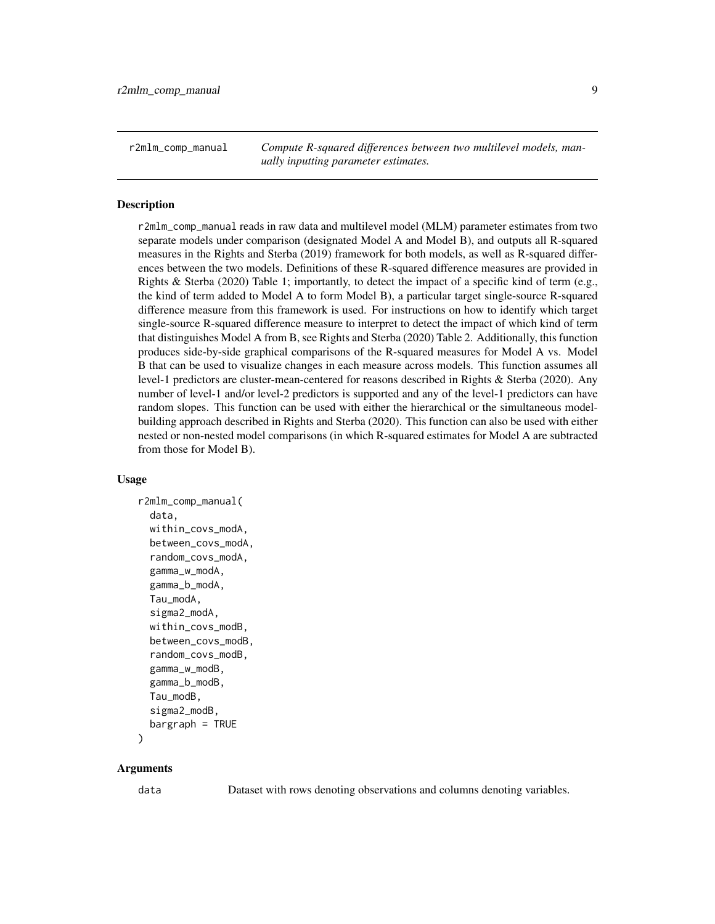<span id="page-8-1"></span><span id="page-8-0"></span>r2mlm\_comp\_manual *Compute R-squared differences between two multilevel models, manually inputting parameter estimates.*

#### Description

r2mlm\_comp\_manual reads in raw data and multilevel model (MLM) parameter estimates from two separate models under comparison (designated Model A and Model B), and outputs all R-squared measures in the Rights and Sterba (2019) framework for both models, as well as R-squared differences between the two models. Definitions of these R-squared difference measures are provided in Rights & Sterba (2020) Table 1; importantly, to detect the impact of a specific kind of term (e.g., the kind of term added to Model A to form Model B), a particular target single-source R-squared difference measure from this framework is used. For instructions on how to identify which target single-source R-squared difference measure to interpret to detect the impact of which kind of term that distinguishes Model A from B, see Rights and Sterba (2020) Table 2. Additionally, this function produces side-by-side graphical comparisons of the R-squared measures for Model A vs. Model B that can be used to visualize changes in each measure across models. This function assumes all level-1 predictors are cluster-mean-centered for reasons described in Rights & Sterba (2020). Any number of level-1 and/or level-2 predictors is supported and any of the level-1 predictors can have random slopes. This function can be used with either the hierarchical or the simultaneous modelbuilding approach described in Rights and Sterba (2020). This function can also be used with either nested or non-nested model comparisons (in which R-squared estimates for Model A are subtracted from those for Model B).

#### Usage

```
r2mlm_comp_manual(
  data,
  within_covs_modA,
 between_covs_modA,
  random_covs_modA,
  gamma_w_modA,
  gamma_b_modA,
  Tau_modA,
  sigma2_modA,
  within_covs_modB,
  between_covs_modB,
  random_covs_modB,
  gamma_w_modB,
  gamma_b_modB,
  Tau_modB,
  sigma2_modB,
 bargraph = TRUE
```
## )

#### Arguments

data Dataset with rows denoting observations and columns denoting variables.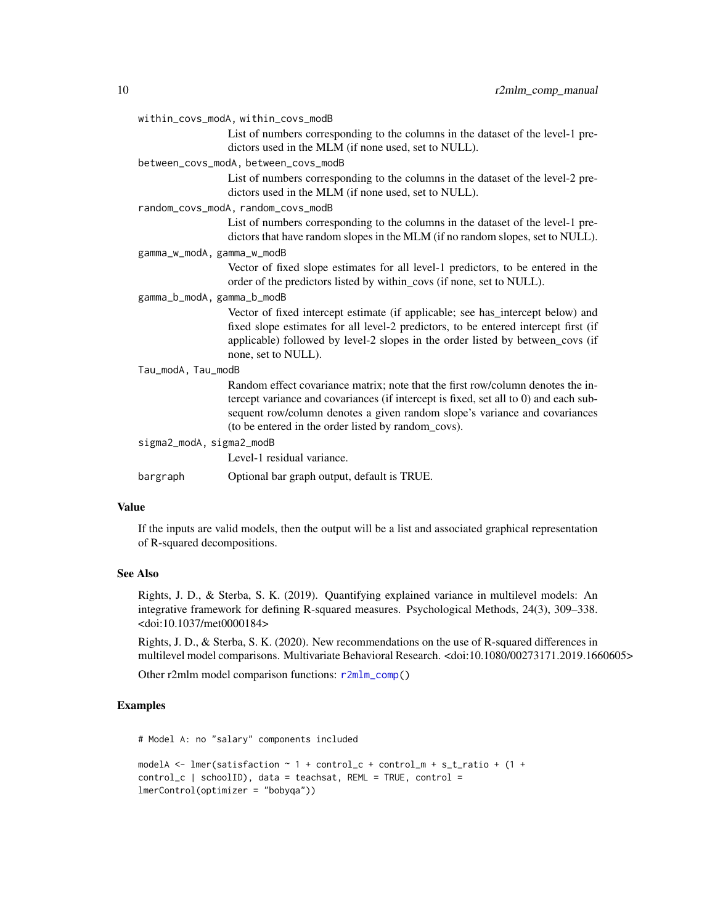#### <span id="page-9-0"></span>within\_covs\_modA, within\_covs\_modB

List of numbers corresponding to the columns in the dataset of the level-1 predictors used in the MLM (if none used, set to NULL).

#### between\_covs\_modA, between\_covs\_modB

List of numbers corresponding to the columns in the dataset of the level-2 predictors used in the MLM (if none used, set to NULL).

random\_covs\_modA, random\_covs\_modB

List of numbers corresponding to the columns in the dataset of the level-1 predictors that have random slopes in the MLM (if no random slopes, set to NULL).

gamma\_w\_modA, gamma\_w\_modB

Vector of fixed slope estimates for all level-1 predictors, to be entered in the order of the predictors listed by within\_covs (if none, set to NULL).

gamma\_b\_modA, gamma\_b\_modB

Vector of fixed intercept estimate (if applicable; see has\_intercept below) and fixed slope estimates for all level-2 predictors, to be entered intercept first (if applicable) followed by level-2 slopes in the order listed by between\_covs (if none, set to NULL).

#### Tau\_modA, Tau\_modB

|                          | Random effect covariance matrix; note that the first row/column denotes the in-      |
|--------------------------|--------------------------------------------------------------------------------------|
|                          | tercept variance and covariances (if intercept is fixed, set all to 0) and each sub- |
|                          | sequent row/column denotes a given random slope's variance and covariances           |
|                          | (to be entered in the order listed by random covs).                                  |
| sigma2_modA, sigma2_modB |                                                                                      |
|                          | Level-1 residual variance.                                                           |

bargraph Optional bar graph output, default is TRUE.

#### Value

If the inputs are valid models, then the output will be a list and associated graphical representation of R-squared decompositions.

#### See Also

Rights, J. D., & Sterba, S. K. (2019). Quantifying explained variance in multilevel models: An integrative framework for defining R-squared measures. Psychological Methods, 24(3), 309–338. <doi:10.1037/met0000184>

Rights, J. D., & Sterba, S. K. (2020). New recommendations on the use of R-squared differences in multilevel model comparisons. Multivariate Behavioral Research. <doi:10.1080/00273171.2019.1660605>

Other r2mlm model comparison functions: [r2mlm\\_comp\(](#page-5-1))

#### Examples

# Model A: no "salary" components included

```
modelA <- lmer(satisfaction \sim 1 + control_c + control_m + s_t_ratio + (1 +
control_c | schoolID), data = teachsat, REML = TRUE, control =
lmerControl(optimizer = "bobyqa"))
```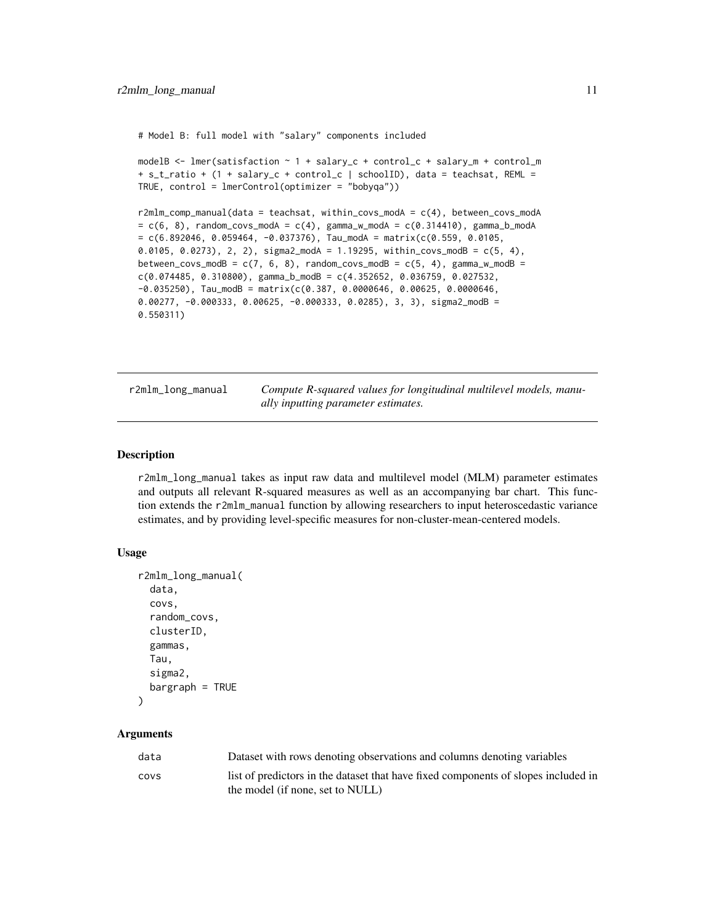<span id="page-10-0"></span># Model B: full model with "salary" components included

```
modelB <- lmer(satisfaction ~ 1 + salary_c + control_c + salary_m + control_m
+ s_t_ratio + (1 + salary_c + control_c | schoolID), data = teachsat, REML =
TRUE, control = lmerControl(optimizer = "bobyqa"))
```

```
r2mlm_comp_manual(data = teachsat, within_covs_modA = c(4), between_covs_modA
= c(6, 8), random_covs_modA = c(4), gamma_w_modA = c(0.314410), gamma_b_modA
= c(6.892046, 0.059464, -0.037376), Tau_modA = matrix(c(0.559, 0.0105,0.0105, 0.0273), 2, 2), sigma2_modA = 1.19295, within_covs_modB = c(5, 4),
between_covs_modB = c(7, 6, 8), random_covs_modB = c(5, 4), gamma_w_modB =
c(0.074485, 0.310800), gamma_b_modB = c(4.352652, 0.036759, 0.027532)-0.035250), Tau_modB = matrix(c(0.387, 0.0000646, 0.00625, 0.0000646,
0.00277, -0.000333, 0.00625, -0.000333, 0.0285), 3, 3), sigma2_modB =
0.550311)
```
<span id="page-10-1"></span>r2mlm\_long\_manual *Compute R-squared values for longitudinal multilevel models, manually inputting parameter estimates.*

#### Description

r2mlm\_long\_manual takes as input raw data and multilevel model (MLM) parameter estimates and outputs all relevant R-squared measures as well as an accompanying bar chart. This function extends the r2mlm\_manual function by allowing researchers to input heteroscedastic variance estimates, and by providing level-specific measures for non-cluster-mean-centered models.

#### Usage

```
r2mlm_long_manual(
  data,
  covs,
  random_covs,
  clusterID,
  gammas,
  Tau,
  sigma2,
  baryraph = TRUE\lambda
```
#### Arguments

| data | Dataset with rows denoting observations and columns denoting variables             |
|------|------------------------------------------------------------------------------------|
| COVS | list of predictors in the dataset that have fixed components of slopes included in |
|      | the model (if none, set to NULL)                                                   |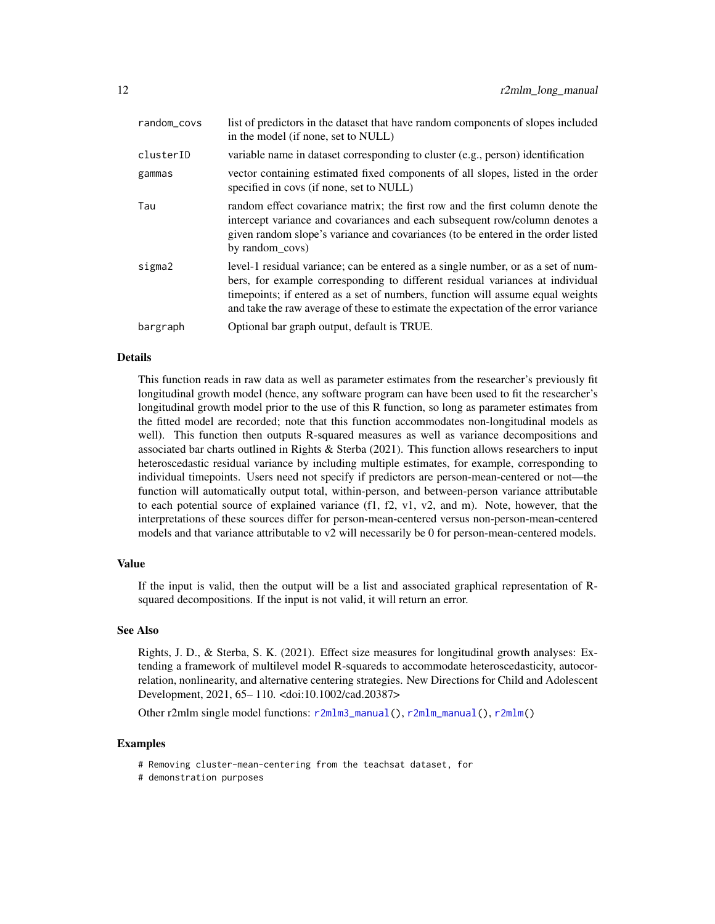<span id="page-11-0"></span>

| random_covs | list of predictors in the dataset that have random components of slopes included<br>in the model (if none, set to NULL)                                                                                                                                                                                                                     |
|-------------|---------------------------------------------------------------------------------------------------------------------------------------------------------------------------------------------------------------------------------------------------------------------------------------------------------------------------------------------|
| clusterID   | variable name in dataset corresponding to cluster (e.g., person) identification                                                                                                                                                                                                                                                             |
| gammas      | vector containing estimated fixed components of all slopes, listed in the order<br>specified in covs (if none, set to NULL)                                                                                                                                                                                                                 |
| Tau         | random effect covariance matrix; the first row and the first column denote the<br>intercept variance and covariances and each subsequent row/column denotes a<br>given random slope's variance and covariances (to be entered in the order listed<br>by random covs)                                                                        |
| sigma2      | level-1 residual variance; can be entered as a single number, or as a set of num-<br>bers, for example corresponding to different residual variances at individual<br>timepoints; if entered as a set of numbers, function will assume equal weights<br>and take the raw average of these to estimate the expectation of the error variance |
| bargraph    | Optional bar graph output, default is TRUE.                                                                                                                                                                                                                                                                                                 |

#### Details

This function reads in raw data as well as parameter estimates from the researcher's previously fit longitudinal growth model (hence, any software program can have been used to fit the researcher's longitudinal growth model prior to the use of this R function, so long as parameter estimates from the fitted model are recorded; note that this function accommodates non-longitudinal models as well). This function then outputs R-squared measures as well as variance decompositions and associated bar charts outlined in Rights & Sterba (2021). This function allows researchers to input heteroscedastic residual variance by including multiple estimates, for example, corresponding to individual timepoints. Users need not specify if predictors are person-mean-centered or not—the function will automatically output total, within-person, and between-person variance attributable to each potential source of explained variance (f1, f2, v1, v2, and m). Note, however, that the interpretations of these sources differ for person-mean-centered versus non-person-mean-centered models and that variance attributable to v2 will necessarily be 0 for person-mean-centered models.

#### Value

If the input is valid, then the output will be a list and associated graphical representation of Rsquared decompositions. If the input is not valid, it will return an error.

#### See Also

Rights, J. D., & Sterba, S. K. (2021). Effect size measures for longitudinal growth analyses: Extending a framework of multilevel model R-squareds to accommodate heteroscedasticity, autocorrelation, nonlinearity, and alternative centering strategies. New Directions for Child and Adolescent Development, 2021, 65– 110. <doi:10.1002/cad.20387>

Other r2mlm single model functions: [r2mlm3\\_manual\(](#page-3-1)), [r2mlm\\_manual\(](#page-12-1)), [r2mlm\(](#page-1-1))

#### Examples

- # Removing cluster-mean-centering from the teachsat dataset, for
- # demonstration purposes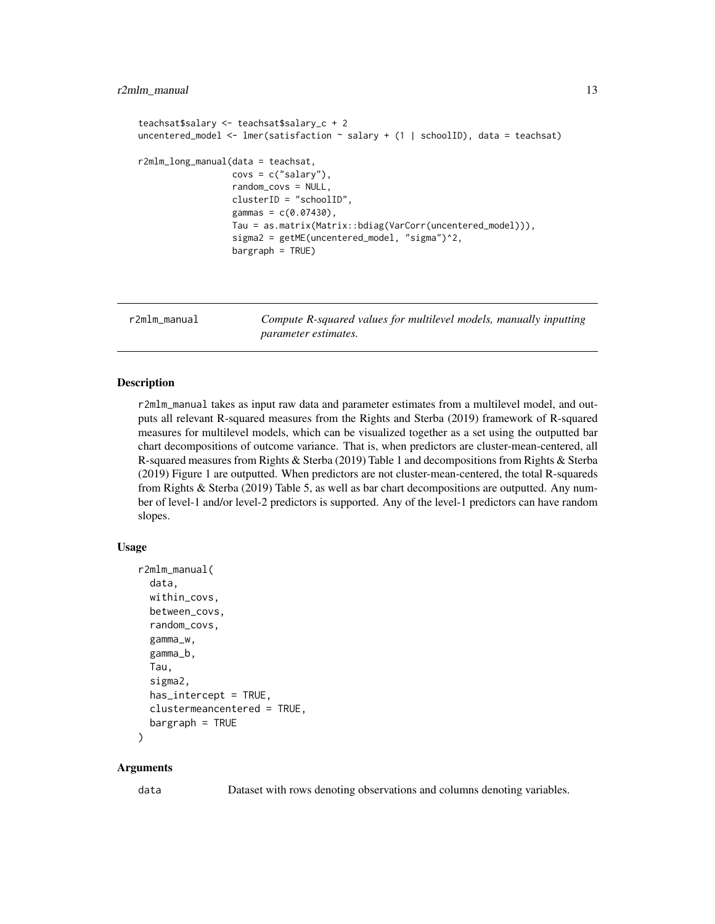#### <span id="page-12-0"></span>r2mlm\_manual 13

```
teachsat$salary <- teachsat$salary_c + 2
uncentered_model <- lmer(satisfaction \sim salary + (1 | schoolID), data = teachsat)
r2mlm_long_manual(data = teachsat,
                  covs = c("salary"),random_covs = NULL,
                  clusterID = "schoolID",
                  gammas = c(0.07430),
                  Tau = as.matrix(Matrix::bdiag(VarCorr(uncentered_model))),
                  sigma2 = getME(uncentered_model, "sigma")^2,
                  bargraph = TRUE)
```
<span id="page-12-1"></span>r2mlm\_manual *Compute R-squared values for multilevel models, manually inputting parameter estimates.*

#### Description

r2mlm\_manual takes as input raw data and parameter estimates from a multilevel model, and outputs all relevant R-squared measures from the Rights and Sterba (2019) framework of R-squared measures for multilevel models, which can be visualized together as a set using the outputted bar chart decompositions of outcome variance. That is, when predictors are cluster-mean-centered, all R-squared measures from Rights & Sterba (2019) Table 1 and decompositions from Rights & Sterba (2019) Figure 1 are outputted. When predictors are not cluster-mean-centered, the total R-squareds from Rights & Sterba (2019) Table 5, as well as bar chart decompositions are outputted. Any number of level-1 and/or level-2 predictors is supported. Any of the level-1 predictors can have random slopes.

#### Usage

```
r2mlm_manual(
  data,
  within_covs,
  between_covs,
  random_covs,
  gamma_w,
  gamma_b,
  Tau,
  sigma2,
  has\_intercept = TRUE,clustermeancentered = TRUE,
 baryraph = TRUE\lambda
```
#### Arguments

data Dataset with rows denoting observations and columns denoting variables.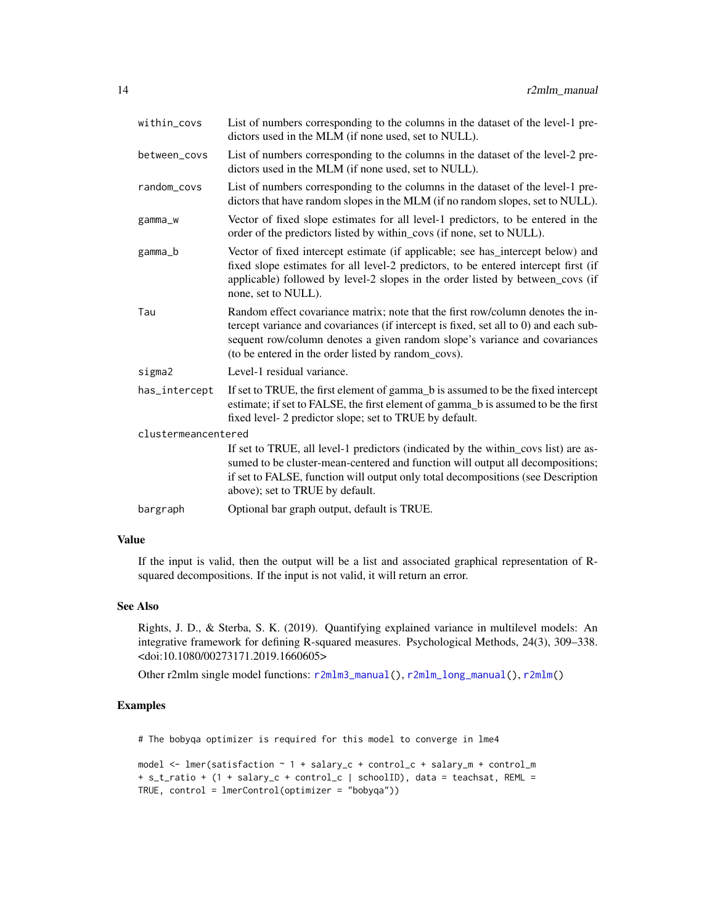<span id="page-13-0"></span>

| within_covs         | List of numbers corresponding to the columns in the dataset of the level-1 pre-<br>dictors used in the MLM (if none used, set to NULL).                                                                                                                                                                      |  |
|---------------------|--------------------------------------------------------------------------------------------------------------------------------------------------------------------------------------------------------------------------------------------------------------------------------------------------------------|--|
| between_covs        | List of numbers corresponding to the columns in the dataset of the level-2 pre-<br>dictors used in the MLM (if none used, set to NULL).                                                                                                                                                                      |  |
| random_covs         | List of numbers corresponding to the columns in the dataset of the level-1 pre-<br>dictors that have random slopes in the MLM (if no random slopes, set to NULL).                                                                                                                                            |  |
| gamma_w             | Vector of fixed slope estimates for all level-1 predictors, to be entered in the<br>order of the predictors listed by within_covs (if none, set to NULL).                                                                                                                                                    |  |
| gamma_b             | Vector of fixed intercept estimate (if applicable; see has_intercept below) and<br>fixed slope estimates for all level-2 predictors, to be entered intercept first (if<br>applicable) followed by level-2 slopes in the order listed by between_covs (if<br>none, set to NULL).                              |  |
| Tau                 | Random effect covariance matrix; note that the first row/column denotes the in-<br>tercept variance and covariances (if intercept is fixed, set all to 0) and each sub-<br>sequent row/column denotes a given random slope's variance and covariances<br>(to be entered in the order listed by random_covs). |  |
| sigma2              | Level-1 residual variance.                                                                                                                                                                                                                                                                                   |  |
| has_intercept       | If set to TRUE, the first element of gamma_b is assumed to be the fixed intercept<br>estimate; if set to FALSE, the first element of gamma_b is assumed to be the first<br>fixed level- 2 predictor slope; set to TRUE by default.                                                                           |  |
| clustermeancentered |                                                                                                                                                                                                                                                                                                              |  |
|                     | If set to TRUE, all level-1 predictors (indicated by the within_covs list) are as-<br>sumed to be cluster-mean-centered and function will output all decompositions;<br>if set to FALSE, function will output only total decompositions (see Description<br>above); set to TRUE by default.                  |  |
| bargraph            | Optional bar graph output, default is TRUE.                                                                                                                                                                                                                                                                  |  |

#### Value

If the input is valid, then the output will be a list and associated graphical representation of Rsquared decompositions. If the input is not valid, it will return an error.

#### See Also

Rights, J. D., & Sterba, S. K. (2019). Quantifying explained variance in multilevel models: An integrative framework for defining R-squared measures. Psychological Methods, 24(3), 309–338. <doi:10.1080/00273171.2019.1660605>

Other r2mlm single model functions: [r2mlm3\\_manual\(](#page-3-1)), [r2mlm\\_long\\_manual\(](#page-10-1)), [r2mlm\(](#page-1-1))

#### Examples

# The bobyqa optimizer is required for this model to converge in lme4

```
model <- lmer(satisfaction ~ 1 + salary_c + control_c + salary_m + control_m
+ s_t_ratio + (1 + salary_c + control_c | schoolID), data = teachsat, REML =
TRUE, control = lmerControl(optimizer = "bobyqa"))
```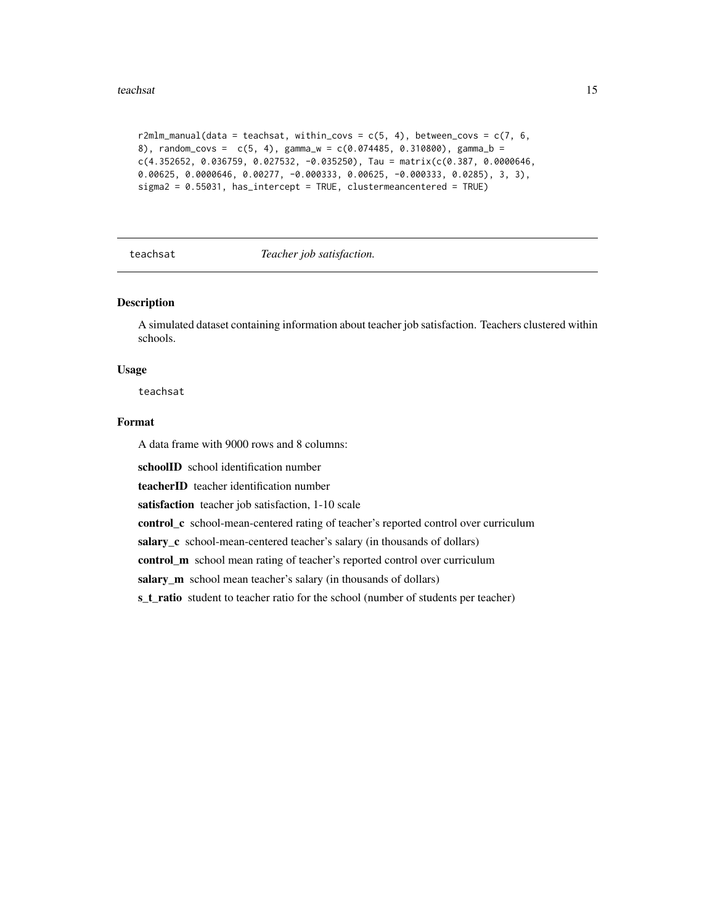#### <span id="page-14-0"></span>teachsat 15

```
r2mlm_manual(data = teachsat, within_covs = c(5, 4), between_covs = c(7, 6, 1)8), random_covs = c(5, 4), gamma_w = c(0.074485, 0.310800), gamma_b =
c(4.352652, 0.036759, 0.027532, -0.035250), Tau = matrix(c(0.387, 0.0000646,0.00625, 0.0000646, 0.00277, -0.000333, 0.00625, -0.000333, 0.0285), 3, 3),
sigma2 = 0.55031, has_intercept = TRUE, clustermeancentered = TRUE)
```
teachsat *Teacher job satisfaction.*

### Description

A simulated dataset containing information about teacher job satisfaction. Teachers clustered within schools.

#### Usage

teachsat

#### Format

A data frame with 9000 rows and 8 columns:

schoolID school identification number

teacherID teacher identification number

satisfaction teacher job satisfaction, 1-10 scale

control\_c school-mean-centered rating of teacher's reported control over curriculum

salary\_c school-mean-centered teacher's salary (in thousands of dollars)

control\_m school mean rating of teacher's reported control over curriculum

salary\_m school mean teacher's salary (in thousands of dollars)

s\_t\_ratio student to teacher ratio for the school (number of students per teacher)